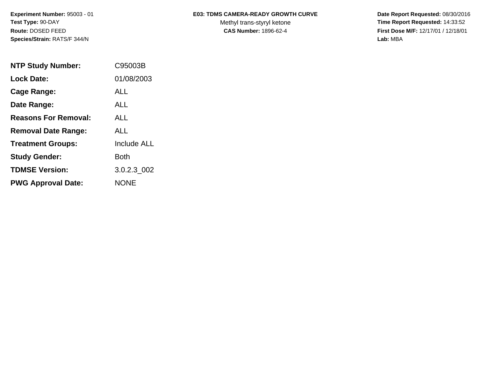**Species/Strain:** RATS/F 344/N **Lab:** MBA

## Experiment Number: 95003 - 01 **E03: TDMS CAMERA-READY GROWTH CURVE** Date Report Requested: 08/30/2016

Test Type: 90-DAY **The Report Requested: 14:33:52** Methyl trans-styryl ketone **Time Report Requested: 14:33:52 Route:** DOSED FEED **CAS Number:** 1896-62-4 **First Dose M/F:** 12/17/01 / 12/18/01

| <b>NTP Study Number:</b>    | C95003B            |
|-----------------------------|--------------------|
| <b>Lock Date:</b>           | 01/08/2003         |
| Cage Range:                 | ALL                |
| Date Range:                 | AI I               |
| <b>Reasons For Removal:</b> | AI I               |
| <b>Removal Date Range:</b>  | ALL                |
| <b>Treatment Groups:</b>    | <b>Include ALL</b> |
| <b>Study Gender:</b>        | Both               |
| <b>TDMSE Version:</b>       | 3.0.2.3 002        |
| <b>PWG Approval Date:</b>   | <b>NONE</b>        |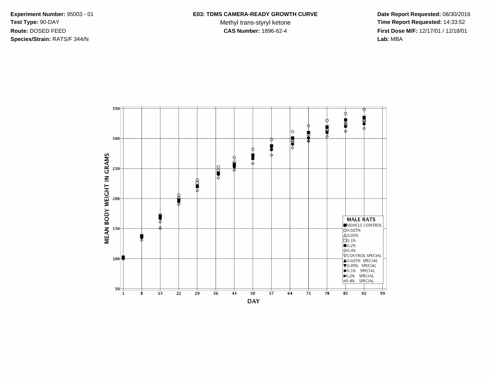**Species/Strain:** RATS/F 344/N **Lab:** MBA

Test Type: 90-DAY **The Report Requested: 14:33:52** Methyl trans-styryl ketone **Time Report Requested: 14:33:52 Route:** DOSED FEED **CAS Number:** 1896-62-4 **First Dose M/F:** 12/17/01 / 12/18/01